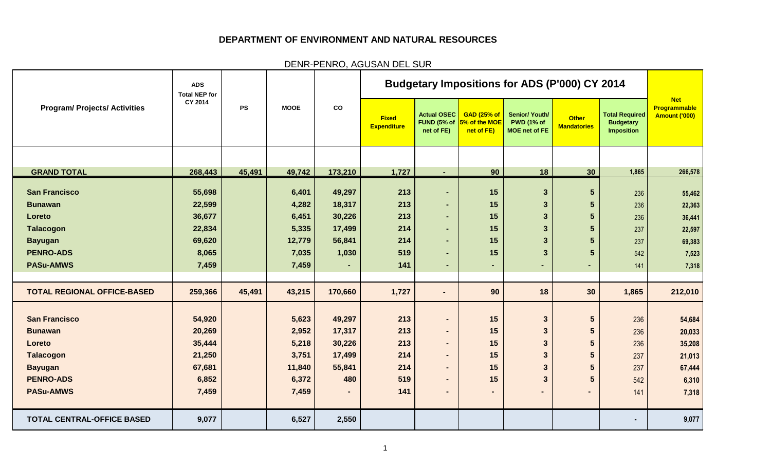## **DEPARTMENT OF ENVIRONMENT AND NATURAL RESOURCES**

DENR-PENRO, AGUSAN DEL SUR

|                                      | <b>ADS</b><br><b>Total NEP for</b> |           |                |                |                                    |                                                 |                                                   | <b>Budgetary Impositions for ADS (P'000) CY 2014</b>               |                                    |                                                                |                                             |
|--------------------------------------|------------------------------------|-----------|----------------|----------------|------------------------------------|-------------------------------------------------|---------------------------------------------------|--------------------------------------------------------------------|------------------------------------|----------------------------------------------------------------|---------------------------------------------|
| <b>Program/ Projects/ Activities</b> | CY 2014                            | <b>PS</b> | <b>MOOE</b>    | co             | <b>Fixed</b><br><b>Expenditure</b> | <b>Actual OSEC</b><br>FUND (5% of<br>net of FE) | <b>GAD (25% of</b><br>5% of the MOE<br>net of FE) | <b>Senior/ Youth/</b><br><b>PWD (1% of</b><br><b>MOE</b> net of FE | <b>Other</b><br><b>Mandatories</b> | <b>Total Required</b><br><b>Budgetary</b><br><b>Imposition</b> | <b>Net</b><br>Programmable<br>Amount ('000) |
|                                      |                                    |           |                |                |                                    |                                                 |                                                   |                                                                    |                                    |                                                                |                                             |
| <b>GRAND TOTAL</b>                   | 268,443                            | 45,491    | 49,742         | 173,210        | 1,727                              | $\blacksquare$                                  | 90                                                | 18                                                                 | 30                                 | 1,865                                                          | 266,578                                     |
| <b>San Francisco</b>                 | 55,698                             |           | 6,401          | 49,297         | 213                                | $\blacksquare$                                  | 15                                                | $\mathbf{3}$                                                       | $5\phantom{.}$                     |                                                                |                                             |
| <b>Bunawan</b>                       | 22,599                             |           | 4,282          | 18,317         | 213                                | $\blacksquare$                                  | 15                                                | $\overline{3}$                                                     | $5\phantom{.0}$                    | 236<br>236                                                     | 55,462<br>22,363                            |
| Loreto                               | 36,677                             |           | 6,451          | 30,226         | 213                                | $\blacksquare$                                  | 15                                                | 3                                                                  | $5\phantom{.}$                     | 236                                                            | 36,441                                      |
| <b>Talacogon</b>                     | 22,834                             |           | 5,335          | 17,499         | 214                                | $\sim$                                          | 15                                                | $\mathbf{3}$                                                       | 5                                  | 237                                                            | 22,597                                      |
| <b>Bayugan</b>                       | 69,620                             |           | 12,779         | 56,841         | 214                                | $\blacksquare$                                  | 15                                                | 3                                                                  | $5\phantom{.}$                     | 237                                                            | 69,383                                      |
| <b>PENRO-ADS</b>                     | 8,065                              |           | 7,035          | 1,030          | 519                                | $\blacksquare$                                  | 15                                                | $\overline{3}$                                                     | $5\phantom{1}$                     | 542                                                            | 7,523                                       |
| <b>PASu-AMWS</b>                     | 7,459                              |           | 7,459          | $\blacksquare$ | 141                                | $\blacksquare$                                  | ٠                                                 |                                                                    | ٠                                  | 141                                                            | 7,318                                       |
|                                      |                                    |           |                |                |                                    |                                                 |                                                   |                                                                    |                                    |                                                                |                                             |
| <b>TOTAL REGIONAL OFFICE-BASED</b>   | 259,366                            | 45,491    | 43,215         | 170,660        | 1,727                              | $\blacksquare$                                  | 90                                                | 18                                                                 | 30                                 | 1,865                                                          | 212,010                                     |
|                                      |                                    |           |                |                |                                    |                                                 |                                                   |                                                                    |                                    |                                                                |                                             |
| <b>San Francisco</b>                 | 54,920                             |           | 5,623          | 49,297         | 213                                | $\blacksquare$                                  | 15                                                | $\overline{3}$                                                     | $5\phantom{.0}$                    | 236                                                            | 54,684                                      |
| <b>Bunawan</b>                       | 20,269                             |           | 2,952          | 17,317         | 213                                | $\blacksquare$                                  | 15                                                | 3                                                                  | 5                                  | 236                                                            | 20,033                                      |
| Loreto                               | 35,444                             |           | 5,218          | 30,226         | 213                                | $\blacksquare$                                  | 15                                                | 3                                                                  | $5\phantom{.0}$                    | 236                                                            | 35,208                                      |
| <b>Talacogon</b>                     | 21,250                             |           | 3,751          | 17,499         | 214                                | $\blacksquare$                                  | 15                                                | $\mathbf{3}$                                                       | $5\phantom{1}$                     | 237                                                            | 21,013                                      |
| <b>Bayugan</b>                       | 67,681                             |           | 11,840         | 55,841         | 214                                | $\blacksquare$                                  | 15                                                | 3                                                                  | 5 <sup>5</sup>                     | 237                                                            | 67,444                                      |
| <b>PENRO-ADS</b><br><b>PASu-AMWS</b> | 6,852                              |           | 6,372<br>7,459 | 480            | 519<br>141                         | $\blacksquare$                                  | 15                                                | 3                                                                  | $5\phantom{1}$                     | 542                                                            | 6,310                                       |
|                                      | 7,459                              |           |                |                |                                    |                                                 |                                                   |                                                                    | -                                  | 141                                                            | 7,318                                       |
| <b>TOTAL CENTRAL-OFFICE BASED</b>    | 9,077                              |           | 6,527          | 2,550          |                                    |                                                 |                                                   |                                                                    |                                    | ٠                                                              | 9,077                                       |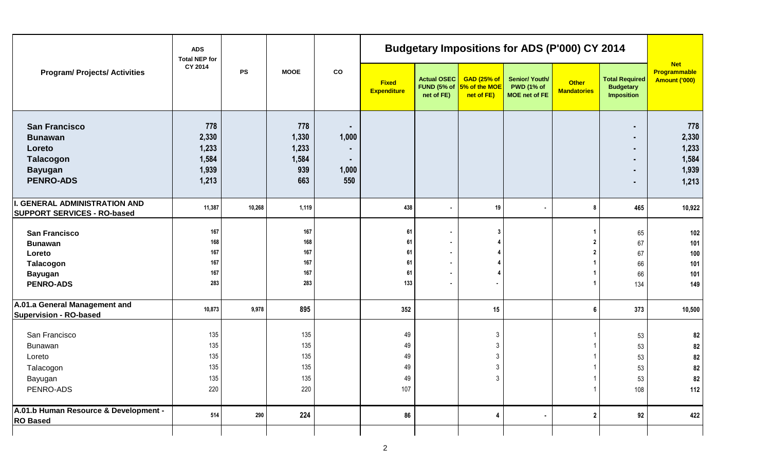|                                                         | <b>ADS</b><br><b>Total NEP for</b> |            |             |             |                                    |                                                 |                                                   | <b>Budgetary Impositions for ADS (P'000) CY 2014</b>        |                                    |                                                                |                                             |
|---------------------------------------------------------|------------------------------------|------------|-------------|-------------|------------------------------------|-------------------------------------------------|---------------------------------------------------|-------------------------------------------------------------|------------------------------------|----------------------------------------------------------------|---------------------------------------------|
| <b>Program/ Projects/ Activities</b>                    | CY 2014                            | ${\sf PS}$ | <b>MOOE</b> | $_{\rm co}$ | <b>Fixed</b><br><b>Expenditure</b> | <b>Actual OSEC</b><br>FUND (5% of<br>net of FE) | <b>GAD (25% of</b><br>5% of the MOE<br>net of FE) | <b>Senior/ Youth/</b><br><b>PWD (1% of</b><br>MOE net of FE | <b>Other</b><br><b>Mandatories</b> | <b>Total Required</b><br><b>Budgetary</b><br><b>Imposition</b> | <b>Net</b><br>Programmable<br>Amount ('000) |
| <b>San Francisco</b>                                    | 778                                |            | 778         | ٠           |                                    |                                                 |                                                   |                                                             |                                    |                                                                | 778                                         |
| <b>Bunawan</b>                                          | 2,330                              |            | 1,330       | 1,000       |                                    |                                                 |                                                   |                                                             |                                    |                                                                | 2,330                                       |
| Loreto                                                  | 1,233                              |            | 1,233       |             |                                    |                                                 |                                                   |                                                             |                                    |                                                                | 1,233                                       |
| Talacogon                                               | 1,584                              |            | 1,584       | ٠           |                                    |                                                 |                                                   |                                                             |                                    |                                                                | 1,584                                       |
| <b>Bayugan</b>                                          | 1,939                              |            | 939         | 1,000       |                                    |                                                 |                                                   |                                                             |                                    |                                                                | 1,939                                       |
| <b>PENRO-ADS</b>                                        | 1,213                              |            | 663         | 550         |                                    |                                                 |                                                   |                                                             |                                    |                                                                | 1,213                                       |
| <b>I. GENERAL ADMINISTRATION AND</b>                    | 11,387                             | 10,268     | 1,119       |             | 438                                |                                                 | 19                                                | $\sim$                                                      | 8                                  | 465                                                            | 10,922                                      |
| <b>SUPPORT SERVICES - RO-based</b>                      |                                    |            |             |             |                                    |                                                 |                                                   |                                                             |                                    |                                                                |                                             |
| <b>San Francisco</b>                                    | 167                                |            | 167         |             | 61                                 |                                                 | 3                                                 |                                                             |                                    | 65                                                             | 102                                         |
| <b>Bunawan</b>                                          | 168                                |            | 168         |             | 61                                 |                                                 |                                                   |                                                             |                                    | 67                                                             | 101                                         |
| Loreto                                                  | 167                                |            | 167         |             | 61                                 | $\sim$                                          |                                                   |                                                             |                                    | 67                                                             | 100                                         |
| Talacogon                                               | 167                                |            | 167         |             | 61                                 |                                                 |                                                   |                                                             |                                    | 66                                                             | 101                                         |
| <b>Bayugan</b>                                          | 167                                |            | 167         |             | 61                                 |                                                 |                                                   |                                                             |                                    | 66                                                             | 101                                         |
| <b>PENRO-ADS</b>                                        | 283                                |            | 283         |             | 133                                |                                                 | $\blacksquare$                                    |                                                             |                                    | 134                                                            | 149                                         |
| A.01.a General Management and<br>Supervision - RO-based | 10,873                             | 9,978      | 895         |             | 352                                |                                                 | 15                                                |                                                             |                                    | 373                                                            | 10,500                                      |
| San Francisco                                           | 135                                |            | 135         |             | 49                                 |                                                 | $\mathfrak{Z}$                                    |                                                             |                                    | 53                                                             | 82                                          |
| Bunawan                                                 | 135                                |            | 135         |             | 49                                 |                                                 | $\mathbf{3}$                                      |                                                             |                                    | 53                                                             | 82                                          |
| Loreto                                                  | 135                                |            | 135         |             | 49                                 |                                                 | $\mathfrak{Z}$                                    |                                                             |                                    | 53                                                             | 82                                          |
| Talacogon                                               | 135                                |            | 135         |             | 49                                 |                                                 | $\mathfrak{Z}$                                    |                                                             |                                    | 53                                                             | 82                                          |
| Bayugan                                                 | 135                                |            | 135         |             | 49                                 |                                                 | 3                                                 |                                                             |                                    | 53                                                             | 82                                          |
| PENRO-ADS                                               | 220                                |            | 220         |             | 107                                |                                                 |                                                   |                                                             |                                    | 108                                                            | 112                                         |
| A.01.b Human Resource & Development -                   | 514                                | 290        | 224         |             | 86                                 |                                                 | 4                                                 |                                                             | $\mathbf{2}$                       | 92                                                             | 422                                         |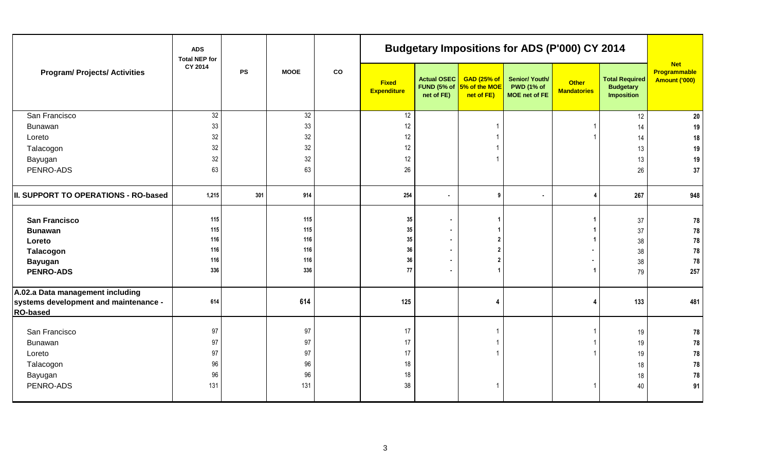|                                                                                              | <b>ADS</b><br><b>Total NEP for</b> |           |             |    |                             |                                  |                                                               | <b>Budgetary Impositions for ADS (P'000) CY 2014</b>        |                                    |                                                                |                                             |
|----------------------------------------------------------------------------------------------|------------------------------------|-----------|-------------|----|-----------------------------|----------------------------------|---------------------------------------------------------------|-------------------------------------------------------------|------------------------------------|----------------------------------------------------------------|---------------------------------------------|
| <b>Program/ Projects/ Activities</b>                                                         | CY 2014                            | <b>PS</b> | <b>MOOE</b> | co | <b>Fixed</b><br>Expenditure | <b>Actual OSEC</b><br>net of FE) | <b>GAD (25% of</b><br>FUND (5% of 5% of the MOE<br>net of FE) | Senior/ Youth/<br><b>PWD (1% of</b><br><b>MOE</b> net of FE | <b>Other</b><br><b>Mandatories</b> | <b>Total Required</b><br><b>Budgetary</b><br><b>Imposition</b> | <b>Net</b><br>Programmable<br>Amount ('000) |
| San Francisco                                                                                | 32                                 |           | 32          |    | 12                          |                                  |                                                               |                                                             |                                    | 12                                                             | 20                                          |
| Bunawan                                                                                      | 33                                 |           | 33          |    | 12                          |                                  |                                                               |                                                             |                                    | 14                                                             | 19                                          |
| Loreto                                                                                       | 32                                 |           | 32          |    | 12                          |                                  |                                                               |                                                             |                                    | 14                                                             | 18                                          |
| Talacogon                                                                                    | 32                                 |           | 32          |    | 12                          |                                  |                                                               |                                                             |                                    | 13                                                             | 19                                          |
| Bayugan                                                                                      | 32                                 |           | 32          |    | 12                          |                                  |                                                               |                                                             |                                    | 13                                                             | $19$                                        |
| PENRO-ADS                                                                                    | 63                                 |           | 63          |    | 26                          |                                  |                                                               |                                                             |                                    | 26                                                             | 37                                          |
| II. SUPPORT TO OPERATIONS - RO-based                                                         | 1,215                              | 301       | 914         |    | 254                         | $\sim$                           | 9                                                             | $\bullet$                                                   | 4                                  | 267                                                            | 948                                         |
| <b>San Francisco</b>                                                                         | 115<br>115                         |           | 115<br>115  |    | 35<br>$35\,$                | $\blacksquare$<br>$\blacksquare$ |                                                               |                                                             |                                    | 37                                                             | 78                                          |
| <b>Bunawan</b>                                                                               | 116                                |           | 116         |    | 35                          |                                  |                                                               |                                                             |                                    | 37                                                             | 78                                          |
| Loreto                                                                                       | 116                                |           | 116         |    | $36\,$                      |                                  |                                                               |                                                             |                                    | 38                                                             | ${\bf 78}$<br>${\bf 78}$                    |
| Talacogon<br><b>Bayugan</b>                                                                  | 116                                |           | 116         |    | $36\,$                      |                                  |                                                               |                                                             |                                    | 38<br>38                                                       | ${\bf 78}$                                  |
| <b>PENRO-ADS</b>                                                                             | 336                                |           | 336         |    | 77                          |                                  |                                                               |                                                             |                                    | 79                                                             | 257                                         |
| A.02.a Data management including<br>systems development and maintenance -<br><b>RO-based</b> | 614                                |           | 614         |    | 125                         |                                  | 4                                                             |                                                             |                                    | 133                                                            | 481                                         |
| San Francisco                                                                                | 97                                 |           | 97          |    | 17                          |                                  |                                                               |                                                             |                                    | 19                                                             | 78                                          |
| Bunawan                                                                                      | 97                                 |           | 97          |    | 17                          |                                  |                                                               |                                                             |                                    | 19                                                             | ${\bf 78}$                                  |
| Loreto                                                                                       | 97                                 |           | 97          |    | 17                          |                                  |                                                               |                                                             |                                    | 19                                                             | 78                                          |
| Talacogon                                                                                    | 96                                 |           | 96          |    | 18                          |                                  |                                                               |                                                             |                                    | 18                                                             | ${\bf 78}$                                  |
| Bayugan                                                                                      | 96                                 |           | 96          |    | 18                          |                                  |                                                               |                                                             |                                    | 18                                                             | 78                                          |
| PENRO-ADS                                                                                    | 131                                |           | 131         |    | 38                          |                                  |                                                               |                                                             |                                    | 40                                                             | 91                                          |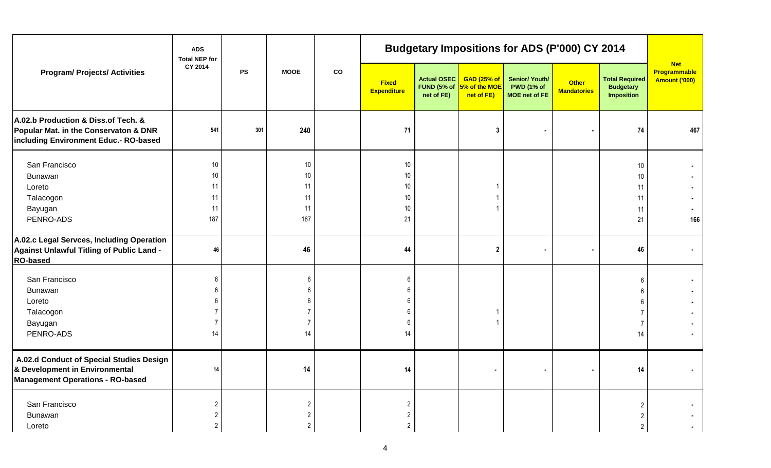|                                                                                                                       | <b>ADS</b><br><b>Total NEP for</b> |           |                |             |                                    |                                          |                                                   | <b>Budgetary Impositions for ADS (P'000) CY 2014</b>        |                             |                                                                |                                             |
|-----------------------------------------------------------------------------------------------------------------------|------------------------------------|-----------|----------------|-------------|------------------------------------|------------------------------------------|---------------------------------------------------|-------------------------------------------------------------|-----------------------------|----------------------------------------------------------------|---------------------------------------------|
| <b>Program/ Projects/ Activities</b>                                                                                  | CY 2014                            | <b>PS</b> | <b>MOOE</b>    | $_{\rm co}$ | <b>Fixed</b><br><b>Expenditure</b> | Actual OSEC<br>FUND (5% of<br>net of FE) | <b>GAD (25% of</b><br>5% of the MOE<br>net of FE) | <b>Senior/ Youth/</b><br><b>PWD (1% of</b><br>MOE net of FE | Other<br><b>Mandatories</b> | <b>Total Required</b><br><b>Budgetary</b><br><b>Imposition</b> | <b>Net</b><br>Programmable<br>Amount ('000) |
| A.02.b Production & Diss.of Tech. &<br>Popular Mat. in the Conservaton & DNR<br>including Environment Educ.- RO-based | 541                                | 301       | 240            |             | 71                                 |                                          | 3                                                 |                                                             |                             | 74                                                             | 467                                         |
| San Francisco                                                                                                         | 10                                 |           | $10$           |             | 10 <sup>°</sup>                    |                                          |                                                   |                                                             |                             | 10                                                             | ۰.                                          |
| <b>Bunawan</b>                                                                                                        | 10                                 |           | $10$           |             | 10 <sup>°</sup>                    |                                          |                                                   |                                                             |                             | 10                                                             | ٠                                           |
| Loreto                                                                                                                | 11                                 |           | 11             |             | 10                                 |                                          |                                                   |                                                             |                             | 11                                                             | ۰.                                          |
| Talacogon                                                                                                             | 11                                 |           | 11             |             | 10 <sub>1</sub>                    |                                          |                                                   |                                                             |                             | 11                                                             | ۰                                           |
| Bayugan                                                                                                               | 11                                 |           | 11             |             | 10                                 |                                          |                                                   |                                                             |                             | 11                                                             | $\blacksquare$                              |
| PENRO-ADS                                                                                                             | 187                                |           | 187            |             | 21                                 |                                          |                                                   |                                                             |                             | 21                                                             | 166                                         |
| A.02.c Legal Servces, Including Operation<br>Against Unlawful Titling of Public Land -<br><b>RO-based</b>             | 46                                 |           | 46             |             | 44                                 |                                          | $\overline{2}$                                    |                                                             |                             | 46                                                             | ٠                                           |
| San Francisco                                                                                                         |                                    |           | 6              |             | 6                                  |                                          |                                                   |                                                             |                             |                                                                | ٠                                           |
| <b>Bunawan</b>                                                                                                        |                                    |           |                |             |                                    |                                          |                                                   |                                                             |                             |                                                                |                                             |
| Loreto                                                                                                                |                                    |           |                |             | 6                                  |                                          |                                                   |                                                             |                             |                                                                | ٠                                           |
| Talacogon                                                                                                             |                                    |           |                |             | 6                                  |                                          |                                                   |                                                             |                             |                                                                | ٠.                                          |
| Bayugan                                                                                                               |                                    |           |                |             | 6                                  |                                          |                                                   |                                                             |                             |                                                                |                                             |
| PENRO-ADS                                                                                                             | 14                                 |           | 14             |             | 14                                 |                                          |                                                   |                                                             |                             | 14                                                             |                                             |
| A.02.d Conduct of Special Studies Design<br>& Development in Environmental<br>Management Operations - RO-based        | 14                                 |           | 14             |             | 14                                 |                                          | $\blacksquare$                                    |                                                             |                             | 14                                                             | $\blacksquare$                              |
| San Francisco                                                                                                         |                                    |           | $\overline{c}$ |             | $\overline{2}$                     |                                          |                                                   |                                                             |                             |                                                                |                                             |
| Bunawan                                                                                                               |                                    |           | $\overline{2}$ |             | $\overline{2}$                     |                                          |                                                   |                                                             |                             |                                                                |                                             |
| Loreto                                                                                                                | 2                                  |           | $\overline{2}$ |             | $\overline{2}$                     |                                          |                                                   |                                                             |                             |                                                                |                                             |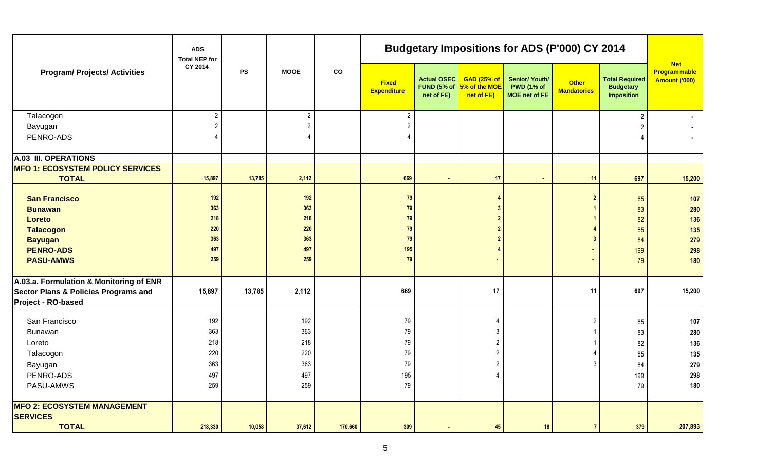|                                                                                                       | <b>ADS</b><br><b>Total NEP for</b> |               |                |               |                                    |                                          |                                           | <b>Budgetary Impositions for ADS (P'000) CY 2014</b>               |                                    |                                                         |                                             |
|-------------------------------------------------------------------------------------------------------|------------------------------------|---------------|----------------|---------------|------------------------------------|------------------------------------------|-------------------------------------------|--------------------------------------------------------------------|------------------------------------|---------------------------------------------------------|---------------------------------------------|
| <b>Program/ Projects/ Activities</b>                                                                  | CY 2014                            | $\mathsf{PS}$ | <b>MOOE</b>    | $\mathbf{co}$ | <b>Fixed</b><br><b>Expenditure</b> | Actual OSEC<br>FUND (5% of<br>net of FE) | GAD(25% of<br>5% of the MOE<br>net of FE) | <b>Senior/ Youth/</b><br><b>PWD (1% of</b><br><b>MOE</b> net of FE | <b>Other</b><br><b>Mandatories</b> | <b>Total Required</b><br><b>Budgetary</b><br>Imposition | <b>Net</b><br>Programmable<br>Amount ('000) |
| Talacogon                                                                                             | 2 <sup>1</sup>                     |               | $\overline{2}$ |               | $\overline{2}$                     |                                          |                                           |                                                                    |                                    |                                                         | $\blacksquare$                              |
| Bayugan                                                                                               |                                    |               | $\overline{2}$ |               | $\overline{2}$                     |                                          |                                           |                                                                    |                                    |                                                         |                                             |
| PENRO-ADS                                                                                             |                                    |               | 4              |               | $\overline{4}$                     |                                          |                                           |                                                                    |                                    |                                                         | $\sim$                                      |
| A.03 III. OPERATIONS                                                                                  |                                    |               |                |               |                                    |                                          |                                           |                                                                    |                                    |                                                         |                                             |
| <b>MFO 1: ECOSYSTEM POLICY SERVICES</b>                                                               |                                    |               |                |               |                                    |                                          |                                           |                                                                    |                                    |                                                         |                                             |
| <b>TOTAL</b>                                                                                          | 15,897                             | 13,785        | 2,112          |               | 669                                | $\blacksquare$                           | 17                                        |                                                                    | 11                                 | 697                                                     | 15,200                                      |
| <b>San Francisco</b>                                                                                  | 192                                |               | 192            |               | 79                                 |                                          |                                           |                                                                    | $\overline{2}$                     | 85                                                      | 107                                         |
| <b>Bunawan</b>                                                                                        | 363                                |               | 363            |               | 79                                 |                                          |                                           |                                                                    |                                    | 83                                                      | 280                                         |
| Loreto                                                                                                | 218                                |               | 218            |               | 79                                 |                                          |                                           |                                                                    |                                    | 82                                                      | 136                                         |
| <b>Talacogon</b>                                                                                      | 220                                |               | <b>220</b>     |               | 79                                 |                                          |                                           |                                                                    |                                    | 85                                                      | 135                                         |
| <b>Bayugan</b>                                                                                        | 363                                |               | 363            |               | 79                                 |                                          |                                           |                                                                    |                                    | 84                                                      | 279                                         |
| <b>PENRO-ADS</b>                                                                                      | 497                                |               | 497            |               | 195                                |                                          |                                           |                                                                    |                                    | 199                                                     | 298                                         |
| <b>PASU-AMWS</b>                                                                                      | 259                                |               | 259            |               | 79                                 |                                          |                                           |                                                                    |                                    | 79                                                      | 180                                         |
| A.03.a. Formulation & Monitoring of ENR<br>Sector Plans & Policies Programs and<br>Project - RO-based | 15,897                             | 13,785        | 2,112          |               | 669                                |                                          | 17                                        |                                                                    | 11                                 | 697                                                     | 15,200                                      |
| San Francisco                                                                                         | 192                                |               | 192            |               | 79                                 |                                          |                                           |                                                                    |                                    | 85                                                      | 107                                         |
| Bunawan                                                                                               | 363                                |               | 363            |               | 79                                 |                                          |                                           |                                                                    |                                    | 83                                                      | 280                                         |
| Loreto                                                                                                | 218                                |               | 218            |               | 79                                 |                                          |                                           |                                                                    |                                    | 82                                                      | 136                                         |
| Talacogon                                                                                             | 220                                |               | 220            |               | 79                                 |                                          | 2                                         |                                                                    |                                    | 85                                                      | 135                                         |
| Bayugan                                                                                               | 363                                |               | 363            |               | $79\,$                             |                                          |                                           |                                                                    |                                    | 84                                                      | 279                                         |
| PENRO-ADS                                                                                             | 497                                |               | 497            |               | 195                                |                                          |                                           |                                                                    |                                    | 199                                                     | 298                                         |
| PASU-AMWS                                                                                             | 259                                |               | 259            |               | 79                                 |                                          |                                           |                                                                    |                                    | 79                                                      | 180                                         |
| <b>MFO 2: ECOSYSTEM MANAGEMENT</b>                                                                    |                                    |               |                |               |                                    |                                          |                                           |                                                                    |                                    |                                                         |                                             |
| <b>SERVICES</b>                                                                                       |                                    |               |                |               |                                    |                                          |                                           |                                                                    |                                    |                                                         |                                             |
| <b>TOTAL</b>                                                                                          | 218,330                            | 10,058        | 37,612         | 170,660       | 309                                |                                          | 45                                        | 18                                                                 | $\overline{7}$                     | 379                                                     | 207,893                                     |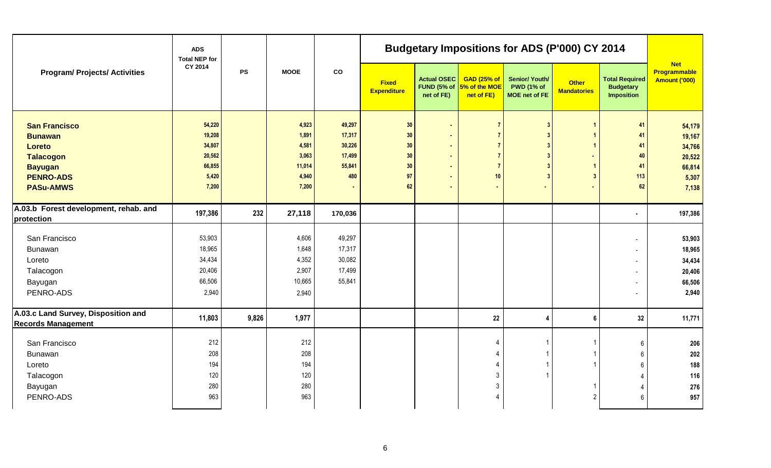|                                                                                                                                | <b>ADS</b><br><b>Total NEP for</b>                               |           |                                                              |                                                       |                                            |                                                 |                                                                                                           | <b>Budgetary Impositions for ADS (P'000) CY 2014</b>        |                                    |                                                                                                                           |                                                                  |
|--------------------------------------------------------------------------------------------------------------------------------|------------------------------------------------------------------|-----------|--------------------------------------------------------------|-------------------------------------------------------|--------------------------------------------|-------------------------------------------------|-----------------------------------------------------------------------------------------------------------|-------------------------------------------------------------|------------------------------------|---------------------------------------------------------------------------------------------------------------------------|------------------------------------------------------------------|
| <b>Program/ Projects/ Activities</b>                                                                                           | CY 2014                                                          | <b>PS</b> | <b>MOOE</b>                                                  | ${\rm co}$                                            | <b>Fixed</b><br><b>Expenditure</b>         | <b>Actual OSEC</b><br>FUND (5% of<br>net of FE) | <b>GAD (25% of</b><br>5% of the MOE<br>net of FE)                                                         | <b>Senior/ Youth/</b><br><b>PWD (1% of</b><br>MOE net of FE | <b>Other</b><br><b>Mandatories</b> | <b>Total Required</b><br><b>Budgetary</b><br><b>Imposition</b>                                                            | <b>Net</b><br>Programmable<br><b>Amount ('000)</b>               |
| <b>San Francisco</b><br><b>Bunawan</b><br>Loreto<br><b>Talacogon</b><br><b>Bayugan</b><br><b>PENRO-ADS</b><br><b>PASu-AMWS</b> | 54,220<br>19,208<br>34,807<br>20,562<br>66,855<br>5,420<br>7,200 |           | 4,923<br>1,891<br>4,581<br>3,063<br>11,014<br>4,940<br>7,200 | 49,297<br>17,317<br>30,226<br>17,499<br>55,841<br>480 | $30\,$<br>30<br>30<br>30<br>30<br>97<br>62 | $\mathbf{r}$<br>ä,<br>÷.<br>$\blacksquare$      | $\overline{7}$<br>$\overline{7}$<br>$\overline{7}$<br>$\overline{7}$<br>$\overline{7}$<br>10 <sup>1</sup> | ٠                                                           | 3                                  | 41<br>41<br>41<br>40<br>41<br>113<br>62                                                                                   | 54,179<br>19,167<br>34,766<br>20,522<br>66,814<br>5,307<br>7,138 |
| A.03.b Forest development, rehab. and<br>protection                                                                            | 197,386                                                          | 232       | 27,118                                                       | 170,036                                               |                                            |                                                 |                                                                                                           |                                                             |                                    | ٠                                                                                                                         | 197,386                                                          |
| San Francisco<br>Bunawan<br>Loreto<br>Talacogon<br>Bayugan<br>PENRO-ADS                                                        | 53,903<br>18,965<br>34,434<br>20,406<br>66,506<br>2,940          |           | 4,606<br>1,648<br>4,352<br>2,907<br>10,665<br>2,940          | 49,297<br>17,317<br>30,082<br>17,499<br>55,841        |                                            |                                                 |                                                                                                           |                                                             |                                    | ٠<br>$\overline{\phantom{a}}$<br>$\blacksquare$<br>$\blacksquare$<br>$\overline{\phantom{a}}$<br>$\overline{\phantom{a}}$ | 53,903<br>18,965<br>34,434<br>20,406<br>66,506<br>2,940          |
| A.03.c Land Survey, Disposition and<br><b>Records Management</b>                                                               | 11,803                                                           | 9,826     | 1,977                                                        |                                                       |                                            |                                                 | 22                                                                                                        | 4                                                           | 6                                  | 32                                                                                                                        | 11,771                                                           |
| San Francisco<br>Bunawan<br>Loreto<br>Talacogon<br>Bayugan<br>PENRO-ADS                                                        | 212<br>208<br>194<br>120<br>280<br>963                           |           | 212<br>208<br>194<br>120<br>280<br>963                       |                                                       |                                            |                                                 | Δ<br>3<br>3                                                                                               |                                                             | $\mathfrak{p}$                     | 6<br>6<br>6<br>4<br>6                                                                                                     | 206<br>202<br>188<br>116<br>276<br>957                           |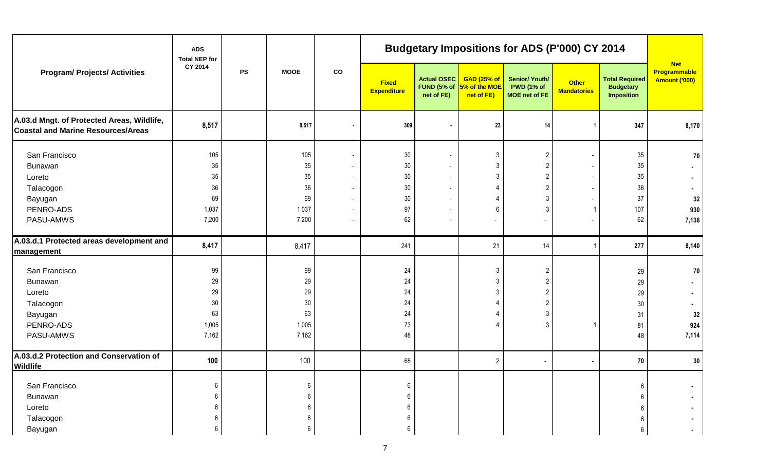| <b>Program/ Projects/ Activities</b>                                                    | <b>ADS</b><br><b>Total NEP for</b> |           |                 |    |                             |                                                 |                                                   | <b>Budgetary Impositions for ADS (P'000) CY 2014</b>        |                                    |                                                                |                                                    |
|-----------------------------------------------------------------------------------------|------------------------------------|-----------|-----------------|----|-----------------------------|-------------------------------------------------|---------------------------------------------------|-------------------------------------------------------------|------------------------------------|----------------------------------------------------------------|----------------------------------------------------|
|                                                                                         | CY 2014                            | <b>PS</b> | <b>MOOE</b>     | co | <b>Fixed</b><br>Expenditure | <b>Actual OSEC</b><br>FUND (5% of<br>net of FE) | <b>GAD (25% of</b><br>5% of the MOE<br>net of FE) | <b>Senior/ Youth/</b><br><b>PWD (1% of</b><br>MOE net of FE | <b>Other</b><br><b>Mandatories</b> | <b>Total Required</b><br><b>Budgetary</b><br><b>Imposition</b> | <b>Net</b><br>Programmable<br><b>Amount ('000)</b> |
| A.03.d Mngt. of Protected Areas, Wildlife,<br><b>Coastal and Marine Resources/Areas</b> | 8,517                              |           | 8,517           |    | 309                         |                                                 | 23                                                | 14                                                          | $\mathbf{1}$                       | 347                                                            | 8,170                                              |
| San Francisco<br>Bunawan<br>Loreto                                                      | 105<br>35<br>35                    |           | 105<br>35<br>35 |    | 30<br>30<br>30              | $\blacksquare$                                  | $\mathfrak{Z}$<br>$\mathbf{3}$<br>$\mathbf{3}$    | $\overline{2}$<br>$\overline{2}$<br>$\overline{2}$          |                                    | 35<br>35<br>35                                                 | 70                                                 |
| Talacogon<br>Bayugan                                                                    | 36<br>69                           |           | 36<br>69        |    | 30<br>30                    | $\blacksquare$<br>$\overline{\phantom{a}}$      | 4<br>4                                            | $\overline{2}$<br>3                                         |                                    | $36\,$<br>$37\,$                                               | 32                                                 |
| PENRO-ADS<br>PASU-AMWS                                                                  | 1,037<br>7,200                     |           | 1,037<br>7,200  |    | 97<br>62                    | $\overline{\phantom{a}}$<br>$\blacksquare$      | 6<br>$\blacksquare$                               | 3                                                           |                                    | 107<br>62                                                      | 930<br>7,138                                       |
| A.03.d.1 Protected areas development and<br>management                                  | 8,417                              |           | 8,417           |    | 241                         |                                                 | 21                                                | 14                                                          |                                    | 277                                                            | 8,140                                              |
| San Francisco<br>Bunawan<br>Loreto                                                      | 99<br>29<br>29                     |           | 99<br>29<br>29  |    | 24<br>24<br>24              |                                                 | $\mathbf{3}$<br>3<br>3                            | $\overline{2}$<br>$\overline{c}$<br>$\overline{c}$          |                                    | 29<br>29<br>29                                                 | $70\,$                                             |
| Talacogon<br>Bayugan                                                                    | $30\,$<br>63                       |           | 30<br>63        |    | 24<br>24                    |                                                 | $\overline{\mathcal{L}}$                          | $\overline{\mathbf{c}}$<br>3                                |                                    | $30\,$<br>31                                                   | 32                                                 |
| PENRO-ADS<br>PASU-AMWS                                                                  | 1,005<br>7,162                     |           | 1,005<br>7,162  |    | 73<br>48                    |                                                 | $\Delta$                                          | 3                                                           |                                    | 81<br>48                                                       | 924<br>7,114                                       |
| A.03.d.2 Protection and Conservation of<br><b>Wildlife</b>                              | 100                                |           | 100             |    | 68                          |                                                 | $\overline{2}$                                    |                                                             |                                    | 70                                                             | 30                                                 |
| San Francisco<br><b>Bunawan</b><br>Loreto                                               | $\,6\,$<br>6<br>6                  |           | 6<br>6<br>6     |    | 6<br>6<br>6                 |                                                 |                                                   |                                                             |                                    | 6                                                              |                                                    |
| Talacogon<br>Bayugan                                                                    | 6<br>6                             |           | 6               |    | 6<br>6                      |                                                 |                                                   |                                                             |                                    | 6                                                              |                                                    |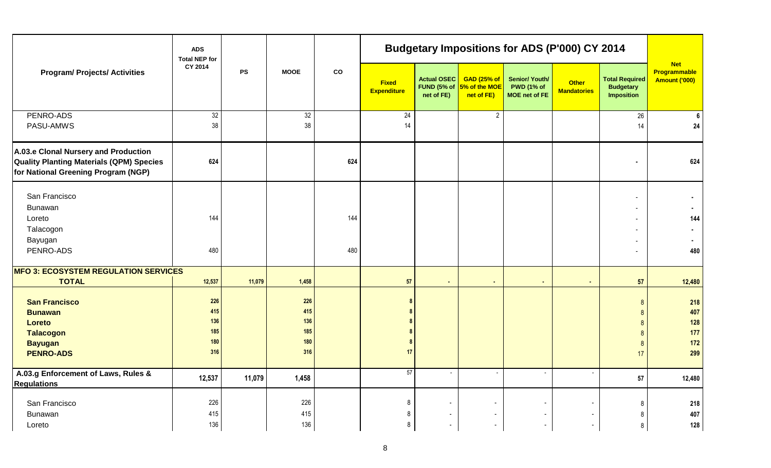|                                                                                                                                | <b>ADS</b><br><b>Total NEP for</b>     |           |                                        |            |                                    |                                                 |                                                   | <b>Budgetary Impositions for ADS (P'000) CY 2014</b>        |                                    |                                                                |                                                    |
|--------------------------------------------------------------------------------------------------------------------------------|----------------------------------------|-----------|----------------------------------------|------------|------------------------------------|-------------------------------------------------|---------------------------------------------------|-------------------------------------------------------------|------------------------------------|----------------------------------------------------------------|----------------------------------------------------|
| <b>Program/ Projects/ Activities</b>                                                                                           | CY 2014                                | <b>PS</b> | <b>MOOE</b>                            | ${\rm co}$ | <b>Fixed</b><br><b>Expenditure</b> | <b>Actual OSEC</b><br>FUND (5% of<br>net of FE) | <b>GAD (25% of</b><br>5% of the MOE<br>net of FE) | Senior/ Youth/<br><b>PWD (1% of</b><br><b>MOE</b> net of FE | <b>Other</b><br><b>Mandatories</b> | <b>Total Required</b><br><b>Budgetary</b><br><b>Imposition</b> | <b>Net</b><br>Programmable<br><b>Amount ('000)</b> |
| PENRO-ADS<br>PASU-AMWS                                                                                                         | 32<br>38                               |           | 32<br>38                               |            | 24<br>14                           |                                                 | $\overline{2}$                                    |                                                             |                                    | 26<br>14                                                       | 6<br>24                                            |
| A.03.e Clonal Nursery and Production<br><b>Quality Planting Materials (QPM) Species</b><br>for National Greening Program (NGP) | 624                                    |           |                                        | 624        |                                    |                                                 |                                                   |                                                             |                                    |                                                                | 624                                                |
| San Francisco<br>Bunawan<br>Loreto<br>Talacogon<br>Bayugan<br>PENRO-ADS                                                        | 144<br>480                             |           |                                        | 144<br>480 |                                    |                                                 |                                                   |                                                             |                                    |                                                                | 144<br>480                                         |
| <b>MFO 3: ECOSYSTEM REGULATION SERVICES</b><br><b>TOTAL</b>                                                                    | 12,537                                 | 11,079    | 1,458                                  |            | 57                                 | $\sim$                                          | $\bullet$                                         | $\blacksquare$                                              | $\sim$                             | 57                                                             | 12,480                                             |
| <b>San Francisco</b><br><b>Bunawan</b><br>Loreto<br><b>Talacogon</b><br><b>Bayugan</b><br><b>PENRO-ADS</b>                     | 226<br>415<br>136<br>185<br>180<br>316 |           | 226<br>415<br>136<br>185<br>180<br>316 |            | 17                                 |                                                 |                                                   |                                                             |                                    | 8<br>$\mathbf{8}$<br>17                                        | 218<br>407<br>128<br>177<br>$172$<br>299           |
| A.03.g Enforcement of Laws, Rules &<br><b>Regulations</b>                                                                      | 12,537                                 | 11,079    | 1,458                                  |            | $\overline{57}$                    | $\overline{\phantom{a}}$                        | $\overline{\phantom{a}}$                          |                                                             |                                    | 57                                                             | 12,480                                             |
| San Francisco<br>Bunawan<br>Loreto                                                                                             | 226<br>415<br>136                      |           | 226<br>415<br>136                      |            | 8<br>8<br>8                        |                                                 |                                                   |                                                             |                                    | 8<br>8<br>8                                                    | 218<br>407<br>128                                  |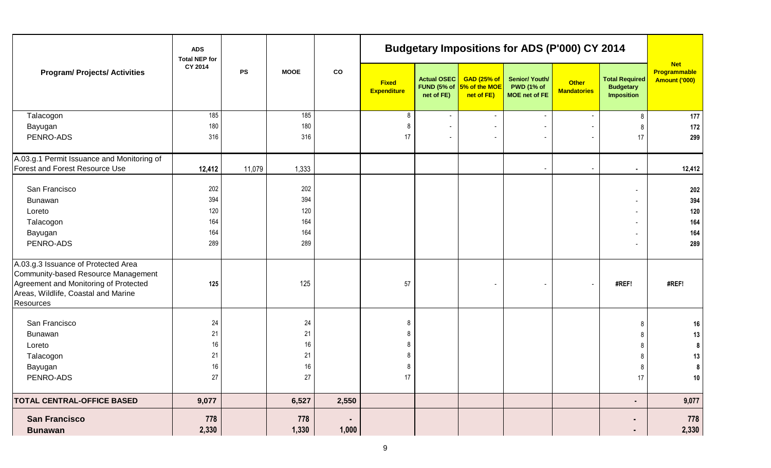|                                                                                                                                                                         | <b>ADS</b><br><b>Total NEP for</b> |           |              |             |                                    |                                  |                                                                  | <b>Budgetary Impositions for ADS (P'000) CY 2014</b>               |                                    |                                                                |                                             |
|-------------------------------------------------------------------------------------------------------------------------------------------------------------------------|------------------------------------|-----------|--------------|-------------|------------------------------------|----------------------------------|------------------------------------------------------------------|--------------------------------------------------------------------|------------------------------------|----------------------------------------------------------------|---------------------------------------------|
| <b>Program/ Projects/ Activities</b>                                                                                                                                    | CY 2014                            | <b>PS</b> | <b>MOOE</b>  | $_{\rm co}$ | <b>Fixed</b><br><b>Expenditure</b> | <b>Actual OSEC</b><br>net of FE) | <b>GAD (25% of</b><br>FUND (5% of $5\%$ of the MOE<br>net of FE) | <b>Senior/ Youth/</b><br><b>PWD (1% of</b><br><b>MOE</b> net of FE | <b>Other</b><br><b>Mandatories</b> | <b>Total Required</b><br><b>Budgetary</b><br><b>Imposition</b> | <b>Net</b><br>Programmable<br>Amount ('000) |
| Talacogon                                                                                                                                                               | 185                                |           | 185          |             | 8                                  | $\overline{\phantom{a}}$         | $\sim$                                                           |                                                                    |                                    | 8                                                              | 177                                         |
| Bayugan                                                                                                                                                                 | 180                                |           | 180          |             | 8                                  |                                  | ٠                                                                |                                                                    |                                    | -8                                                             | 172                                         |
| PENRO-ADS                                                                                                                                                               | 316                                |           | 316          |             | 17                                 | $\blacksquare$                   | $\blacksquare$                                                   |                                                                    |                                    | 17                                                             | 299                                         |
| A.03.g.1 Permit Issuance and Monitoring of                                                                                                                              |                                    |           |              |             |                                    |                                  |                                                                  |                                                                    |                                    |                                                                |                                             |
| <b>Forest and Forest Resource Use</b>                                                                                                                                   | 12,412                             | 11,079    | 1,333        |             |                                    |                                  |                                                                  |                                                                    |                                    |                                                                | 12,412                                      |
| San Francisco                                                                                                                                                           | 202                                |           | 202          |             |                                    |                                  |                                                                  |                                                                    |                                    |                                                                | 202                                         |
| Bunawan                                                                                                                                                                 | 394                                |           | 394          |             |                                    |                                  |                                                                  |                                                                    |                                    |                                                                | 394                                         |
| Loreto                                                                                                                                                                  | 120                                |           | 120          |             |                                    |                                  |                                                                  |                                                                    |                                    |                                                                | 120                                         |
| Talacogon                                                                                                                                                               | 164                                |           | 164          |             |                                    |                                  |                                                                  |                                                                    |                                    |                                                                | 164                                         |
| Bayugan                                                                                                                                                                 | 164                                |           | 164          |             |                                    |                                  |                                                                  |                                                                    |                                    |                                                                | 164                                         |
| PENRO-ADS                                                                                                                                                               | 289                                |           | 289          |             |                                    |                                  |                                                                  |                                                                    |                                    |                                                                | 289                                         |
| A.03.g.3 Issuance of Protected Area<br>Community-based Resource Management<br>Agreement and Monitoring of Protected<br>Areas, Wildlife, Coastal and Marine<br>Resources | 125                                |           | 125          |             | 57                                 |                                  |                                                                  |                                                                    |                                    | #REF!                                                          | #REF!                                       |
| San Francisco                                                                                                                                                           | 24                                 |           | 24           |             | 8                                  |                                  |                                                                  |                                                                    |                                    |                                                                | 16                                          |
| <b>Bunawan</b>                                                                                                                                                          | 21                                 |           | 21           |             | 8                                  |                                  |                                                                  |                                                                    |                                    |                                                                | 13                                          |
| Loreto                                                                                                                                                                  | 16                                 |           | 16           |             |                                    |                                  |                                                                  |                                                                    |                                    |                                                                | 8                                           |
| Talacogon                                                                                                                                                               | 21                                 |           | 21           |             |                                    |                                  |                                                                  |                                                                    |                                    |                                                                | 13                                          |
| Bayugan                                                                                                                                                                 | 16                                 |           | 16           |             | 8                                  |                                  |                                                                  |                                                                    |                                    |                                                                | 8                                           |
| PENRO-ADS                                                                                                                                                               | $27\,$                             |           | $27\,$       |             | 17 <sub>1</sub>                    |                                  |                                                                  |                                                                    |                                    | $\frac{1}{2}$                                                  | 10                                          |
| <b>TOTAL CENTRAL-OFFICE BASED</b>                                                                                                                                       | 9,077                              |           | 6,527        | 2,550       |                                    |                                  |                                                                  |                                                                    |                                    | ٠                                                              | 9,077                                       |
| <b>San Francisco</b><br><b>Bunawan</b>                                                                                                                                  | 778<br>2,330                       |           | 778<br>1,330 | 1,000       |                                    |                                  |                                                                  |                                                                    |                                    | ٠<br>٠                                                         | 778<br>2,330                                |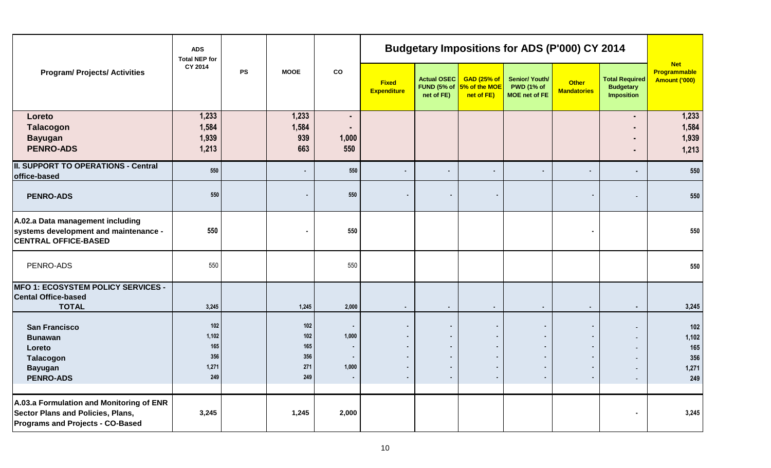|                                                                                                                          | <b>ADS</b><br><b>Total NEP for</b>         |           |                                        |                                                                      |                                    |                                                                           |                                                                                             |                                                             | <b>Budgetary Impositions for ADS (P'000) CY 2014</b> |                                                                |                                             |
|--------------------------------------------------------------------------------------------------------------------------|--------------------------------------------|-----------|----------------------------------------|----------------------------------------------------------------------|------------------------------------|---------------------------------------------------------------------------|---------------------------------------------------------------------------------------------|-------------------------------------------------------------|------------------------------------------------------|----------------------------------------------------------------|---------------------------------------------|
| <b>Program/ Projects/ Activities</b>                                                                                     | CY 2014                                    | <b>PS</b> | <b>MOOE</b>                            | co                                                                   | <b>Fixed</b><br><b>Expenditure</b> | <b>Actual OSEC</b><br>FUND (5% of<br>net of FE)                           | <b>GAD (25% of</b><br>5% of the MOE<br>net of FE)                                           | Senior/ Youth/<br><b>PWD (1% of</b><br><b>MOE</b> net of FE | <b>Other</b><br><b>Mandatories</b>                   | <b>Total Required</b><br><b>Budgetary</b><br><b>Imposition</b> | <b>Net</b><br>Programmable<br>Amount ('000) |
| Loreto<br><b>Talacogon</b><br><b>Bayugan</b><br><b>PENRO-ADS</b>                                                         | 1,233<br>1,584<br>1,939<br>1,213           |           | 1,233<br>1,584<br>939<br>663           | ٠<br>٠<br>1,000<br>550                                               |                                    |                                                                           |                                                                                             |                                                             |                                                      | $\blacksquare$                                                 | 1,233<br>1,584<br>1,939<br>1,213            |
| <b>II. SUPPORT TO OPERATIONS - Central</b><br>office-based                                                               | 550                                        |           |                                        | 550                                                                  |                                    | $\sim$                                                                    | $\blacksquare$                                                                              | $\blacksquare$                                              |                                                      |                                                                | 550                                         |
| <b>PENRO-ADS</b>                                                                                                         | 550                                        |           |                                        | 550                                                                  |                                    | $\bullet$                                                                 | $\bullet$                                                                                   |                                                             |                                                      |                                                                | 550                                         |
| A.02.a Data management including<br>systems development and maintenance -<br><b>CENTRAL OFFICE-BASED</b>                 | 550                                        |           | $\blacksquare$                         | 550                                                                  |                                    |                                                                           |                                                                                             |                                                             |                                                      |                                                                | 550                                         |
| PENRO-ADS                                                                                                                | 550                                        |           |                                        | 550                                                                  |                                    |                                                                           |                                                                                             |                                                             |                                                      |                                                                | 550                                         |
| <b>MFO 1: ECOSYSTEM POLICY SERVICES -</b><br><b>Cental Office-based</b><br><b>TOTAL</b>                                  | 3,245                                      |           | 1,245                                  | 2,000                                                                | $\sim$                             | $\sim$                                                                    | $\blacksquare$                                                                              | $\blacksquare$                                              | $\sim$                                               | $\sim$                                                         | 3,245                                       |
| <b>San Francisco</b><br><b>Bunawan</b><br>Loreto<br><b>Talacogon</b><br><b>Bayugan</b><br><b>PENRO-ADS</b>               | 102<br>1,102<br>165<br>356<br>1,271<br>249 |           | 102<br>102<br>165<br>356<br>271<br>249 | 1,000<br>$\blacksquare$<br>$\blacksquare$<br>1,000<br>$\blacksquare$ | $\sim$                             | $\bullet$<br>$\sim$<br>$\sim$<br>$\bullet$<br>$\bullet$<br>$\blacksquare$ | $\blacksquare$<br>$\blacksquare$<br>$\sim$<br>$\bullet$<br>$\blacksquare$<br>$\blacksquare$ | $\blacksquare$                                              |                                                      |                                                                | 102<br>1,102<br>165<br>356<br>1,271<br>249  |
| A.03.a Formulation and Monitoring of ENR<br><b>Sector Plans and Policies, Plans,</b><br>Programs and Projects - CO-Based | 3,245                                      |           | 1,245                                  | 2,000                                                                |                                    |                                                                           |                                                                                             |                                                             |                                                      |                                                                | 3,245                                       |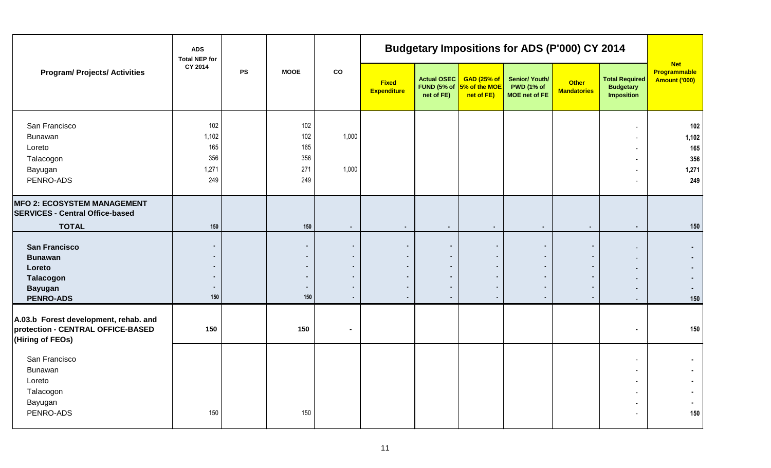|                                                                                                     | <b>ADS</b><br><b>Total NEP for</b>         |           |                                         |                                               |                                                                                |                                          |                                                   | <b>Budgetary Impositions for ADS (P'000) CY 2014</b> |                                                                           |                                                                                                                                |                                                    |
|-----------------------------------------------------------------------------------------------------|--------------------------------------------|-----------|-----------------------------------------|-----------------------------------------------|--------------------------------------------------------------------------------|------------------------------------------|---------------------------------------------------|------------------------------------------------------|---------------------------------------------------------------------------|--------------------------------------------------------------------------------------------------------------------------------|----------------------------------------------------|
| <b>Program/ Projects/ Activities</b>                                                                | CY 2014                                    | <b>PS</b> | <b>MOOE</b>                             | co                                            | <b>Fixed</b><br><b>Expenditure</b>                                             | Actual OSEC<br>FUND (5% of<br>net of FE) | <b>GAD (25% of</b><br>5% of the MOE<br>net of FE) | Senior/ Youth/<br><b>PWD (1% of</b><br>MOE net of FE | <b>Other</b><br><b>Mandatories</b>                                        | <b>Total Required</b><br><b>Budgetary</b><br><b>Imposition</b>                                                                 | <b>Net</b><br>Programmable<br><b>Amount ('000)</b> |
| San Francisco<br>Bunawan<br>Loreto<br>Talacogon<br>Bayugan<br>PENRO-ADS                             | 102<br>1,102<br>165<br>356<br>1,271<br>249 |           | 102<br>102<br>165<br>356<br>271<br>249  | 1,000<br>1,000                                |                                                                                |                                          |                                                   |                                                      |                                                                           | $\overline{\phantom{a}}$<br>$\blacksquare$<br>$\sim$<br>$\overline{\phantom{a}}$<br>٠                                          | 102<br>1,102<br>165<br>356<br>1,271<br>249         |
| <b>MFO 2: ECOSYSTEM MANAGEMENT</b><br><b>SERVICES - Central Office-based</b><br><b>TOTAL</b>        | 150                                        |           | 150                                     | $\sim$                                        | $\bullet$                                                                      | $\sim$                                   | $\sim$                                            | $\blacksquare$                                       | $\blacksquare$                                                            | $\blacksquare$                                                                                                                 | 150                                                |
| <b>San Francisco</b><br><b>Bunawan</b><br>Loreto<br>Talacogon<br><b>Bayugan</b><br><b>PENRO-ADS</b> | $\bullet$<br>$\blacksquare$<br>150         |           | $\bullet$<br>$\bullet$<br>$\sim$<br>150 | $\bullet$<br>$\blacksquare$<br>$\blacksquare$ | ٠<br>$\blacksquare$<br>$\blacksquare$<br>٠<br>$\blacksquare$<br>$\blacksquare$ |                                          |                                                   |                                                      | $\blacksquare$<br>٠<br>$\blacksquare$<br>$\blacksquare$<br>$\blacksquare$ | $\blacksquare$<br>$\overline{\phantom{a}}$<br>$\blacksquare$                                                                   | 150                                                |
| A.03.b Forest development, rehab. and<br>protection - CENTRAL OFFICE-BASED<br>(Hiring of FEOs)      | 150                                        |           | 150                                     | $\sim$                                        |                                                                                |                                          |                                                   |                                                      |                                                                           | $\blacksquare$                                                                                                                 | 150                                                |
| San Francisco<br>Bunawan<br>Loreto<br>Talacogon<br>Bayugan<br>PENRO-ADS                             | 150                                        |           | 150                                     |                                               |                                                                                |                                          |                                                   |                                                      |                                                                           | $\overline{\phantom{a}}$<br>$\overline{\phantom{a}}$<br>$\overline{\phantom{a}}$<br>$\overline{\phantom{a}}$<br>$\blacksquare$ | 150                                                |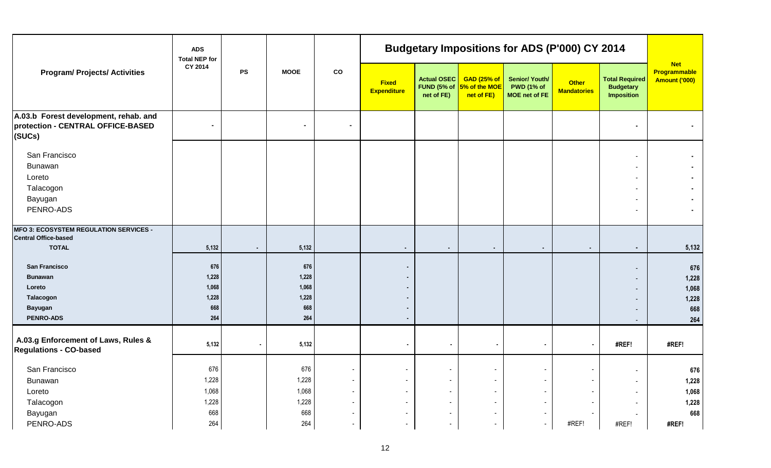|                                                                                                     | <b>ADS</b><br><b>Total NEP for</b><br>CY 2014 |           |                                              |                                  |                                    |                                                                                |                                                   | <b>Budgetary Impositions for ADS (P'000) CY 2014</b>        |                                    |                                                                |                                                    |
|-----------------------------------------------------------------------------------------------------|-----------------------------------------------|-----------|----------------------------------------------|----------------------------------|------------------------------------|--------------------------------------------------------------------------------|---------------------------------------------------|-------------------------------------------------------------|------------------------------------|----------------------------------------------------------------|----------------------------------------------------|
| <b>Program/ Projects/ Activities</b>                                                                |                                               | <b>PS</b> | <b>MOOE</b>                                  | $_{\rm co}$                      | <b>Fixed</b><br><b>Expenditure</b> | <b>Actual OSEC</b><br>FUND (5% of<br>net of FE)                                | <b>GAD (25% of</b><br>5% of the MOE<br>net of FE) | <b>Senior/ Youth/</b><br><b>PWD (1% of</b><br>MOE net of FE | <b>Other</b><br><b>Mandatories</b> | <b>Total Required</b><br><b>Budgetary</b><br><b>Imposition</b> | <b>Net</b><br><b>Programmable</b><br>Amount ('000) |
| A.03.b Forest development, rehab. and<br>protection - CENTRAL OFFICE-BASED<br>$ $ (SUCs)            |                                               |           | $\blacksquare$                               | $\blacksquare$                   |                                    |                                                                                |                                                   |                                                             |                                    |                                                                |                                                    |
| San Francisco<br>Bunawan<br>Loreto<br>Talacogon<br>Bayugan<br>PENRO-ADS                             |                                               |           |                                              |                                  |                                    |                                                                                |                                                   |                                                             |                                    | $\overline{\phantom{a}}$                                       |                                                    |
| MFO 3: ECOSYSTEM REGULATION SERVICES -<br><b>Central Office-based</b><br><b>TOTAL</b>               | 5,132                                         | $\sim$    | 5,132                                        |                                  | $\sim$                             | $\sim$                                                                         | $\blacksquare$                                    | $\blacksquare$                                              | $\sim$                             | $\sim$                                                         | 5,132                                              |
| <b>San Francisco</b><br><b>Bunawan</b><br>Loreto<br>Talacogon<br><b>Bayugan</b><br><b>PENRO-ADS</b> | 676<br>1,228<br>1,068<br>1,228<br>668<br>264  |           | 676<br>1,228<br>1,068<br>1,228<br>668<br>264 |                                  | $\blacksquare$                     |                                                                                |                                                   |                                                             |                                    | $\sim$<br>$\sim$<br>$\overline{\phantom{a}}$                   | 676<br>1,228<br>1,068<br>1,228<br>668<br>264       |
| A.03.g Enforcement of Laws, Rules &<br><b>Regulations - CO-based</b>                                | 5,132                                         | $\sim$    | 5,132                                        |                                  |                                    | $\bullet$                                                                      | $\blacksquare$                                    | $\blacksquare$                                              |                                    | #REF!                                                          | #REF!                                              |
| San Francisco<br>Bunawan<br>Loreto<br>Talacogon                                                     | 676<br>1,228<br>1,068<br>1,228                |           | 676<br>1,228<br>1,068<br>1,228               | $\blacksquare$<br>$\blacksquare$ |                                    | $\blacksquare$<br>$\overline{\phantom{a}}$<br>$\blacksquare$<br>$\blacksquare$ |                                                   |                                                             |                                    | $\sim$<br>$\sim$                                               | 676<br>1,228<br>1,068<br>1,228                     |
| Bayugan<br>PENRO-ADS                                                                                | 668<br>264                                    |           | 668<br>264                                   | $\overline{\phantom{0}}$         |                                    | $\blacksquare$<br>$\sim$                                                       | $\overline{a}$                                    | $\overline{\phantom{a}}$                                    | #REF!                              | #REF!                                                          | 668<br>#REF!                                       |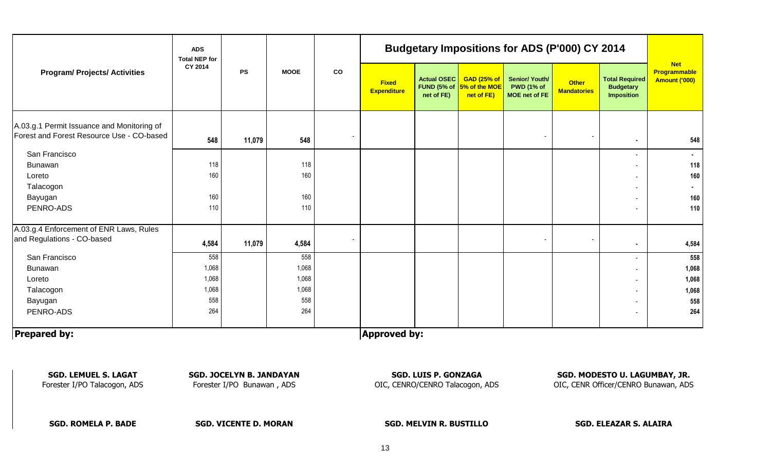|                                                                                         | <b>ADS</b><br><b>Total NEP for</b><br>CY 2014 | <b>PS</b> | <b>MOOE</b> | co | <b>Budgetary Impositions for ADS (P'000) CY 2014</b> |                                  |                                                                  |                                                      |                                    |                                                         |                                             |
|-----------------------------------------------------------------------------------------|-----------------------------------------------|-----------|-------------|----|------------------------------------------------------|----------------------------------|------------------------------------------------------------------|------------------------------------------------------|------------------------------------|---------------------------------------------------------|---------------------------------------------|
| <b>Program/ Projects/ Activities</b>                                                    |                                               |           |             |    | <b>Fixed</b><br><b>Expenditure</b>                   | <b>Actual OSEC</b><br>net of FE) | <b>GAD (25% of</b><br>FUND (5% of $5\%$ of the MOE<br>net of FE) | Senior/ Youth/<br><b>PWD (1% of</b><br>MOE net of FE | <b>Other</b><br><b>Mandatories</b> | <b>Total Required</b><br><b>Budgetary</b><br>Imposition | <b>Net</b><br>Programmable<br>Amount ('000) |
| A.03.g.1 Permit Issuance and Monitoring of<br>Forest and Forest Resource Use - CO-based | 548                                           | 11,079    | 548         |    |                                                      |                                  |                                                                  |                                                      |                                    | $\bullet$                                               | 548                                         |
| San Francisco                                                                           |                                               |           |             |    |                                                      |                                  |                                                                  |                                                      |                                    |                                                         | $\sim$                                      |
| Bunawan                                                                                 | 118                                           |           | 118         |    |                                                      |                                  |                                                                  |                                                      |                                    |                                                         | 118                                         |
| Loreto                                                                                  | 160                                           |           | 160         |    |                                                      |                                  |                                                                  |                                                      |                                    | $\overline{\phantom{a}}$                                | 160                                         |
| Talacogon                                                                               |                                               |           |             |    |                                                      |                                  |                                                                  |                                                      |                                    | $\blacksquare$                                          |                                             |
| Bayugan                                                                                 | 160                                           |           | 160         |    |                                                      |                                  |                                                                  |                                                      |                                    |                                                         | 160                                         |
| PENRO-ADS                                                                               | 110                                           |           | 110         |    |                                                      |                                  |                                                                  |                                                      |                                    |                                                         | 110                                         |
| A.03.g.4 Enforcement of ENR Laws, Rules                                                 |                                               |           |             |    |                                                      |                                  |                                                                  |                                                      |                                    |                                                         |                                             |
| and Regulations - CO-based                                                              | 4,584                                         | 11,079    | 4,584       |    |                                                      |                                  |                                                                  |                                                      |                                    |                                                         | 4,584                                       |
| San Francisco                                                                           | 558                                           |           | 558         |    |                                                      |                                  |                                                                  |                                                      |                                    |                                                         | 558                                         |
| Bunawan                                                                                 | 1,068                                         |           | 1,068       |    |                                                      |                                  |                                                                  |                                                      |                                    | Ξ.                                                      | 1,068                                       |
| Loreto                                                                                  | 1,068                                         |           | 1,068       |    |                                                      |                                  |                                                                  |                                                      |                                    |                                                         | 1,068                                       |
| Talacogon                                                                               | 1,068                                         |           | 1,068       |    |                                                      |                                  |                                                                  |                                                      |                                    |                                                         | 1,068                                       |
| Bayugan                                                                                 | 558                                           |           | 558         |    |                                                      |                                  |                                                                  |                                                      |                                    |                                                         | 558                                         |
| PENRO-ADS                                                                               | 264                                           |           | 264         |    |                                                      |                                  |                                                                  |                                                      |                                    | $\blacksquare$                                          | 264                                         |
| <b>Prepared by:</b>                                                                     |                                               |           |             |    | <b>Approved by:</b>                                  |                                  |                                                                  |                                                      |                                    |                                                         |                                             |

Forester I/PO Talacogon, ADS Forester I/PO Bunawan , ADS OIC, CENRO/CENRO Talacogon, ADS OIC, CENR Officer/CENRO Bunawan, ADS

**SGD. LEMUEL S. LAGAT SGD. JOCELYN B. JANDAYAN SGD. LUIS P. GONZAGA SGD. MODESTO U. LAGUMBAY, JR.**

**SGD. ROMELA P. BADE SGD. VICENTE D. MORAN SGD. MELVIN R. BUSTILLO SGD. ELEAZAR S. ALAIRA**